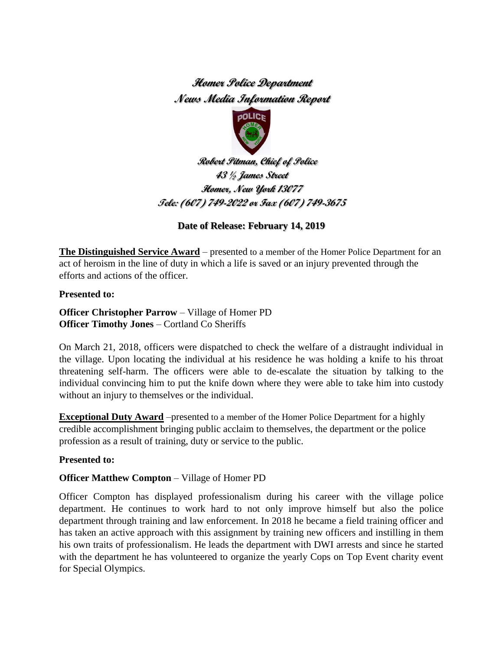# **Homer Police Department News Media Information Report**



 **Robert Pitman, Chief of Police 43 ½ James Street Homer, New York 13077 Tele: (607) 749-2022 or Fax (607) 749-3675**

## **Date of Release: February 14, 2019**

**The Distinguished Service Award** – presented to a member of the Homer Police Department for an act of heroism in the line of duty in which a life is saved or an injury prevented through the efforts and actions of the officer.

**Presented to:**

**Officer Christopher Parrow** – Village of Homer PD **Officer Timothy Jones** – Cortland Co Sheriffs

On March 21, 2018, officers were dispatched to check the welfare of a distraught individual in the village. Upon locating the individual at his residence he was holding a knife to his throat threatening self-harm. The officers were able to de-escalate the situation by talking to the individual convincing him to put the knife down where they were able to take him into custody without an injury to themselves or the individual.

**Exceptional Duty Award** –presented to a member of the Homer Police Department for a highly credible accomplishment bringing public acclaim to themselves, the department or the police profession as a result of training, duty or service to the public.

## **Presented to:**

## **Officer Matthew Compton** – Village of Homer PD

Officer Compton has displayed professionalism during his career with the village police department. He continues to work hard to not only improve himself but also the police department through training and law enforcement. In 2018 he became a field training officer and has taken an active approach with this assignment by training new officers and instilling in them his own traits of professionalism. He leads the department with DWI arrests and since he started with the department he has volunteered to organize the yearly Cops on Top Event charity event for Special Olympics.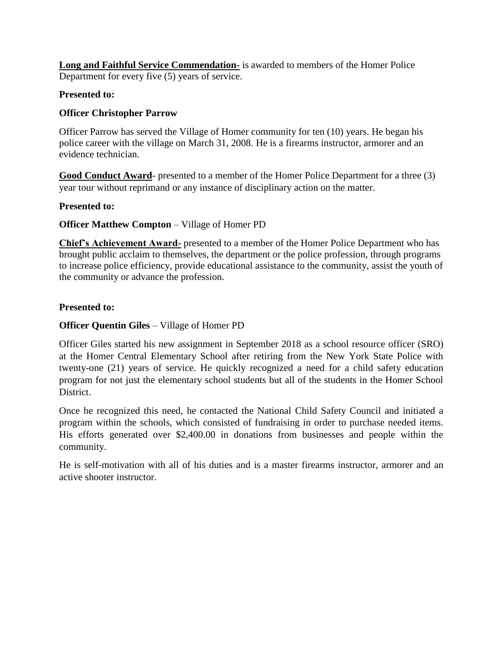**Long and Faithful Service Commendation-** is awarded to members of the Homer Police Department for every five (5) years of service.

## **Presented to:**

## **Officer Christopher Parrow**

Officer Parrow has served the Village of Homer community for ten (10) years. He began his police career with the village on March 31, 2008. He is a firearms instructor, armorer and an evidence technician.

**Good Conduct Award**- presented to a member of the Homer Police Department for a three (3) year tour without reprimand or any instance of disciplinary action on the matter.

#### **Presented to:**

## **Officer Matthew Compton** – Village of Homer PD

**Chief's Achievement Award-** presented to a member of the Homer Police Department who has brought public acclaim to themselves, the department or the police profession, through programs to increase police efficiency, provide educational assistance to the community, assist the youth of the community or advance the profession.

## **Presented to:**

## **Officer Quentin Giles** – Village of Homer PD

Officer Giles started his new assignment in September 2018 as a school resource officer (SRO) at the Homer Central Elementary School after retiring from the New York State Police with twenty-one (21) years of service. He quickly recognized a need for a child safety education program for not just the elementary school students but all of the students in the Homer School District.

Once he recognized this need, he contacted the National Child Safety Council and initiated a program within the schools, which consisted of fundraising in order to purchase needed items. His efforts generated over \$2,400.00 in donations from businesses and people within the community.

He is self-motivation with all of his duties and is a master firearms instructor, armorer and an active shooter instructor.